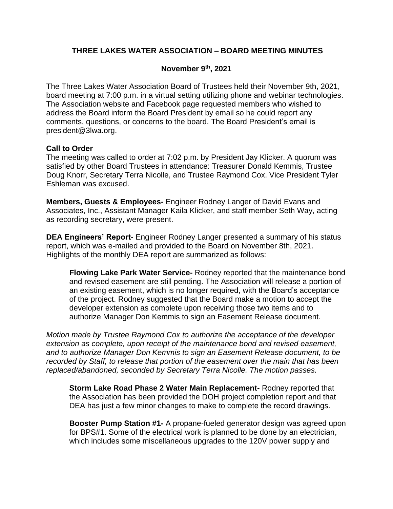# **THREE LAKES WATER ASSOCIATION – BOARD MEETING MINUTES**

### **November 9th, 2021**

The Three Lakes Water Association Board of Trustees held their November 9th, 2021, board meeting at 7:00 p.m. in a virtual setting utilizing phone and webinar technologies. The Association website and Facebook page requested members who wished to address the Board inform the Board President by email so he could report any comments, questions, or concerns to the board. The Board President's email is president@3lwa.org.

#### **Call to Order**

The meeting was called to order at 7:02 p.m. by President Jay Klicker. A quorum was satisfied by other Board Trustees in attendance: Treasurer Donald Kemmis, Trustee Doug Knorr, Secretary Terra Nicolle, and Trustee Raymond Cox. Vice President Tyler Eshleman was excused.

**Members, Guests & Employees-** Engineer Rodney Langer of David Evans and Associates, Inc., Assistant Manager Kaila Klicker, and staff member Seth Way, acting as recording secretary, were present.

**DEA Engineers' Report**- Engineer Rodney Langer presented a summary of his status report, which was e-mailed and provided to the Board on November 8th, 2021. Highlights of the monthly DEA report are summarized as follows:

**Flowing Lake Park Water Service-** Rodney reported that the maintenance bond and revised easement are still pending. The Association will release a portion of an existing easement, which is no longer required, with the Board's acceptance of the project. Rodney suggested that the Board make a motion to accept the developer extension as complete upon receiving those two items and to authorize Manager Don Kemmis to sign an Easement Release document.

*Motion made by Trustee Raymond Cox to authorize the acceptance of the developer extension as complete, upon receipt of the maintenance bond and revised easement, and to authorize Manager Don Kemmis to sign an Easement Release document, to be recorded by Staff, to release that portion of the easement over the main that has been replaced/abandoned, seconded by Secretary Terra Nicolle. The motion passes.*

**Storm Lake Road Phase 2 Water Main Replacement-** Rodney reported that the Association has been provided the DOH project completion report and that DEA has just a few minor changes to make to complete the record drawings.

**Booster Pump Station #1-** A propane-fueled generator design was agreed upon for BPS#1. Some of the electrical work is planned to be done by an electrician, which includes some miscellaneous upgrades to the 120V power supply and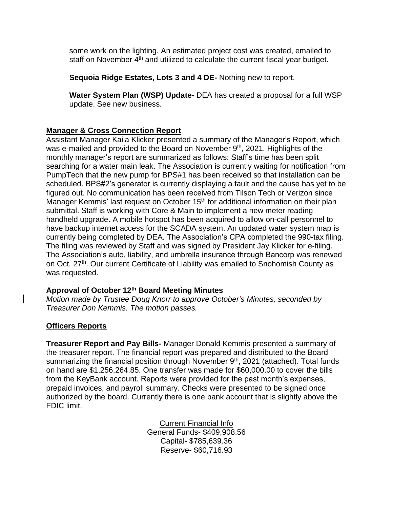some work on the lighting. An estimated project cost was created, emailed to staff on November  $4<sup>th</sup>$  and utilized to calculate the current fiscal year budget.

**Sequoia Ridge Estates, Lots 3 and 4 DE-** Nothing new to report.

**Water System Plan (WSP) Update-** DEA has created a proposal for a full WSP update. See new business.

### **Manager & Cross Connection Report**

Assistant Manager Kaila Klicker presented a summary of the Manager's Report, which was e-mailed and provided to the Board on November 9<sup>th</sup>, 2021. Highlights of the monthly manager's report are summarized as follows: Staff's time has been split searching for a water main leak. The Association is currently waiting for notification from PumpTech that the new pump for BPS#1 has been received so that installation can be scheduled. BPS#2's generator is currently displaying a fault and the cause has yet to be figured out. No communication has been received from Tilson Tech or Verizon since Manager Kemmis' last request on October 15<sup>th</sup> for additional information on their plan submittal. Staff is working with Core & Main to implement a new meter reading handheld upgrade. A mobile hotspot has been acquired to allow on-call personnel to have backup internet access for the SCADA system. An updated water system map is currently being completed by DEA. The Association's CPA completed the 990-tax filing. The filing was reviewed by Staff and was signed by President Jay Klicker for e-filing. The Association's auto, liability, and umbrella insurance through Bancorp was renewed on Oct. 27<sup>th</sup>. Our current Certificate of Liability was emailed to Snohomish County as was requested.

### **Approval of October 12th Board Meeting Minutes**

*Motion made by Trustee Doug Knorr to approve October's Minutes, seconded by Treasurer Don Kemmis. The motion passes.*

# **Officers Reports**

**Treasurer Report and Pay Bills-** Manager Donald Kemmis presented a summary of the treasurer report. The financial report was prepared and distributed to the Board summarizing the financial position through November 9<sup>th</sup>, 2021 (attached). Total funds on hand are \$1,256,264.85. One transfer was made for \$60,000.00 to cover the bills from the KeyBank account. Reports were provided for the past month's expenses, prepaid invoices, and payroll summary. Checks were presented to be signed once authorized by the board. Currently there is one bank account that is slightly above the FDIC limit.

> Current Financial Info General Funds- \$409,908.56 Capital- \$785,639.36 Reserve- \$60,716.93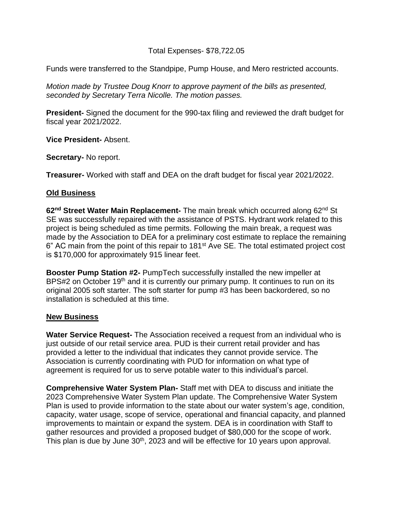### Total Expenses- \$78,722.05

Funds were transferred to the Standpipe, Pump House, and Mero restricted accounts.

*Motion made by Trustee Doug Knorr to approve payment of the bills as presented, seconded by Secretary Terra Nicolle. The motion passes.*

**President-** Signed the document for the 990-tax filing and reviewed the draft budget for fiscal year 2021/2022.

**Vice President-** Absent.

**Secretary-** No report.

**Treasurer-** Worked with staff and DEA on the draft budget for fiscal year 2021/2022.

# **Old Business**

**62nd Street Water Main Replacement-** The main break which occurred along 62nd St SE was successfully repaired with the assistance of PSTS. Hydrant work related to this project is being scheduled as time permits. Following the main break, a request was made by the Association to DEA for a preliminary cost estimate to replace the remaining 6" AC main from the point of this repair to 181<sup>st</sup> Ave SE. The total estimated project cost is \$170,000 for approximately 915 linear feet.

**Booster Pump Station #2-** PumpTech successfully installed the new impeller at BPS#2 on October 19<sup>th</sup> and it is currently our primary pump. It continues to run on its original 2005 soft starter. The soft starter for pump #3 has been backordered, so no installation is scheduled at this time.

### **New Business**

**Water Service Request-** The Association received a request from an individual who is just outside of our retail service area. PUD is their current retail provider and has provided a letter to the individual that indicates they cannot provide service. The Association is currently coordinating with PUD for information on what type of agreement is required for us to serve potable water to this individual's parcel.

**Comprehensive Water System Plan-** Staff met with DEA to discuss and initiate the 2023 Comprehensive Water System Plan update. The Comprehensive Water System Plan is used to provide information to the state about our water system's age, condition, capacity, water usage, scope of service, operational and financial capacity, and planned improvements to maintain or expand the system. DEA is in coordination with Staff to gather resources and provided a proposed budget of \$80,000 for the scope of work. This plan is due by June 30<sup>th</sup>, 2023 and will be effective for 10 years upon approval.